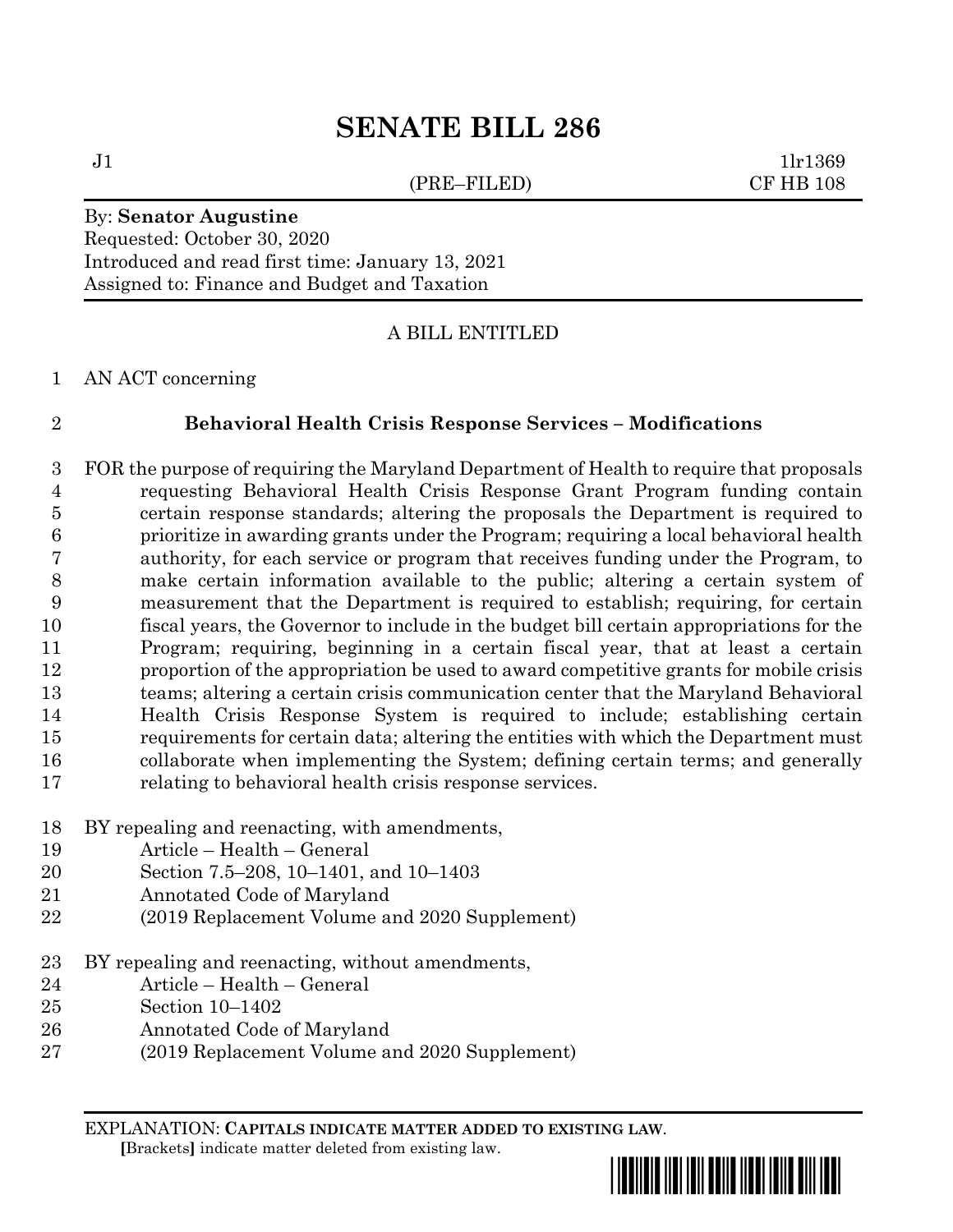# **SENATE BILL 286**

(PRE–FILED) CF HB 108

 $J1$   $1\text{l}r1369$ 

#### By: **Senator Augustine** Requested: October 30, 2020

Introduced and read first time: January 13, 2021 Assigned to: Finance and Budget and Taxation

# A BILL ENTITLED

#### AN ACT concerning

### **Behavioral Health Crisis Response Services – Modifications**

- FOR the purpose of requiring the Maryland Department of Health to require that proposals requesting Behavioral Health Crisis Response Grant Program funding contain certain response standards; altering the proposals the Department is required to prioritize in awarding grants under the Program; requiring a local behavioral health authority, for each service or program that receives funding under the Program, to make certain information available to the public; altering a certain system of measurement that the Department is required to establish; requiring, for certain fiscal years, the Governor to include in the budget bill certain appropriations for the Program; requiring, beginning in a certain fiscal year, that at least a certain proportion of the appropriation be used to award competitive grants for mobile crisis teams; altering a certain crisis communication center that the Maryland Behavioral Health Crisis Response System is required to include; establishing certain requirements for certain data; altering the entities with which the Department must collaborate when implementing the System; defining certain terms; and generally relating to behavioral health crisis response services.
- BY repealing and reenacting, with amendments,
- Article Health General
- Section 7.5–208, 10–1401, and 10–1403
- Annotated Code of Maryland
- (2019 Replacement Volume and 2020 Supplement)
- BY repealing and reenacting, without amendments,
- Article Health General
- Section 10–1402
- Annotated Code of Maryland
- (2019 Replacement Volume and 2020 Supplement)

EXPLANATION: **CAPITALS INDICATE MATTER ADDED TO EXISTING LAW**.  **[**Brackets**]** indicate matter deleted from existing law.

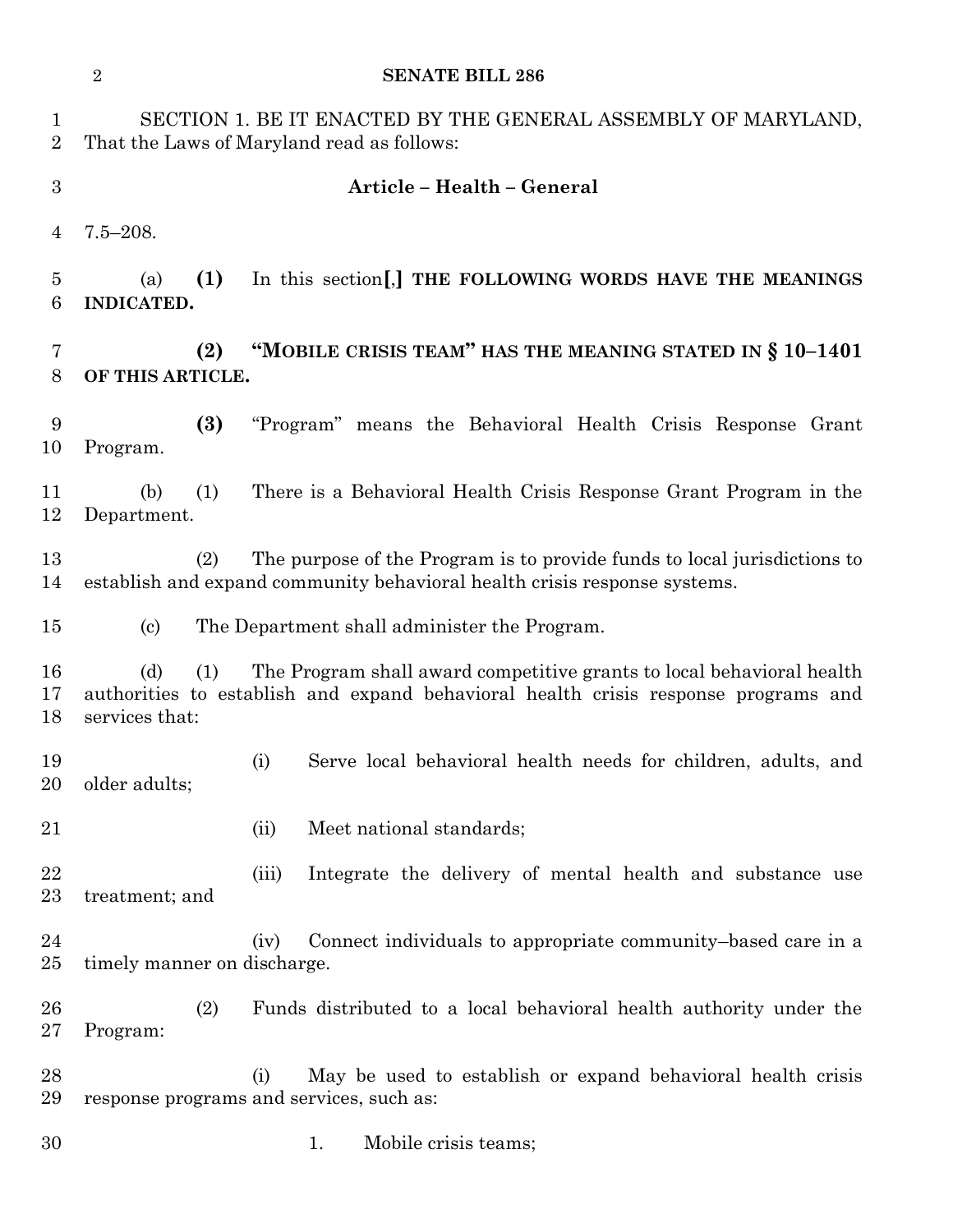|                                | $\overline{2}$<br><b>SENATE BILL 286</b>                                                                    |                                                                                                                                                             |  |  |  |  |
|--------------------------------|-------------------------------------------------------------------------------------------------------------|-------------------------------------------------------------------------------------------------------------------------------------------------------------|--|--|--|--|
| $\mathbf{1}$<br>$\overline{2}$ | SECTION 1. BE IT ENACTED BY THE GENERAL ASSEMBLY OF MARYLAND,<br>That the Laws of Maryland read as follows: |                                                                                                                                                             |  |  |  |  |
| 3                              |                                                                                                             | Article - Health - General                                                                                                                                  |  |  |  |  |
| 4                              | $7.5 - 208.$                                                                                                |                                                                                                                                                             |  |  |  |  |
| 5<br>6                         | (1)<br>In this section, THE FOLLOWING WORDS HAVE THE MEANINGS<br>(a)<br>INDICATED.                          |                                                                                                                                                             |  |  |  |  |
| 7<br>8                         | "MOBILE CRISIS TEAM" HAS THE MEANING STATED IN § 10-1401<br>(2)<br>OF THIS ARTICLE.                         |                                                                                                                                                             |  |  |  |  |
| 9<br>10                        | (3)<br>Program.                                                                                             | "Program" means the Behavioral Health Crisis Response Grant                                                                                                 |  |  |  |  |
| 11<br>12                       | (b)<br>(1)<br>Department.                                                                                   | There is a Behavioral Health Crisis Response Grant Program in the                                                                                           |  |  |  |  |
| 13<br>14                       | (2)                                                                                                         | The purpose of the Program is to provide funds to local jurisdictions to<br>establish and expand community behavioral health crisis response systems.       |  |  |  |  |
| 15                             | $\left( \mathrm{c}\right)$                                                                                  | The Department shall administer the Program.                                                                                                                |  |  |  |  |
| 16<br>17<br>18                 | (d)<br>(1)<br>services that:                                                                                | The Program shall award competitive grants to local behavioral health<br>authorities to establish and expand behavioral health crisis response programs and |  |  |  |  |
| 19<br>20                       | older adults;                                                                                               | Serve local behavioral health needs for children, adults, and<br>(i)                                                                                        |  |  |  |  |
| 21                             |                                                                                                             | Meet national standards;<br>(ii)                                                                                                                            |  |  |  |  |
| 22<br>23                       | treatment; and                                                                                              | Integrate the delivery of mental health and substance use<br>(iii)                                                                                          |  |  |  |  |
| 24<br>25                       | timely manner on discharge.                                                                                 | Connect individuals to appropriate community-based care in a<br>(iv)                                                                                        |  |  |  |  |
| 26<br>27                       | (2)<br>Program:                                                                                             | Funds distributed to a local behavioral health authority under the                                                                                          |  |  |  |  |
| 28<br>29                       |                                                                                                             | May be used to establish or expand behavioral health crisis<br>(i)<br>response programs and services, such as:                                              |  |  |  |  |
| 30                             |                                                                                                             | Mobile crisis teams;<br>1.                                                                                                                                  |  |  |  |  |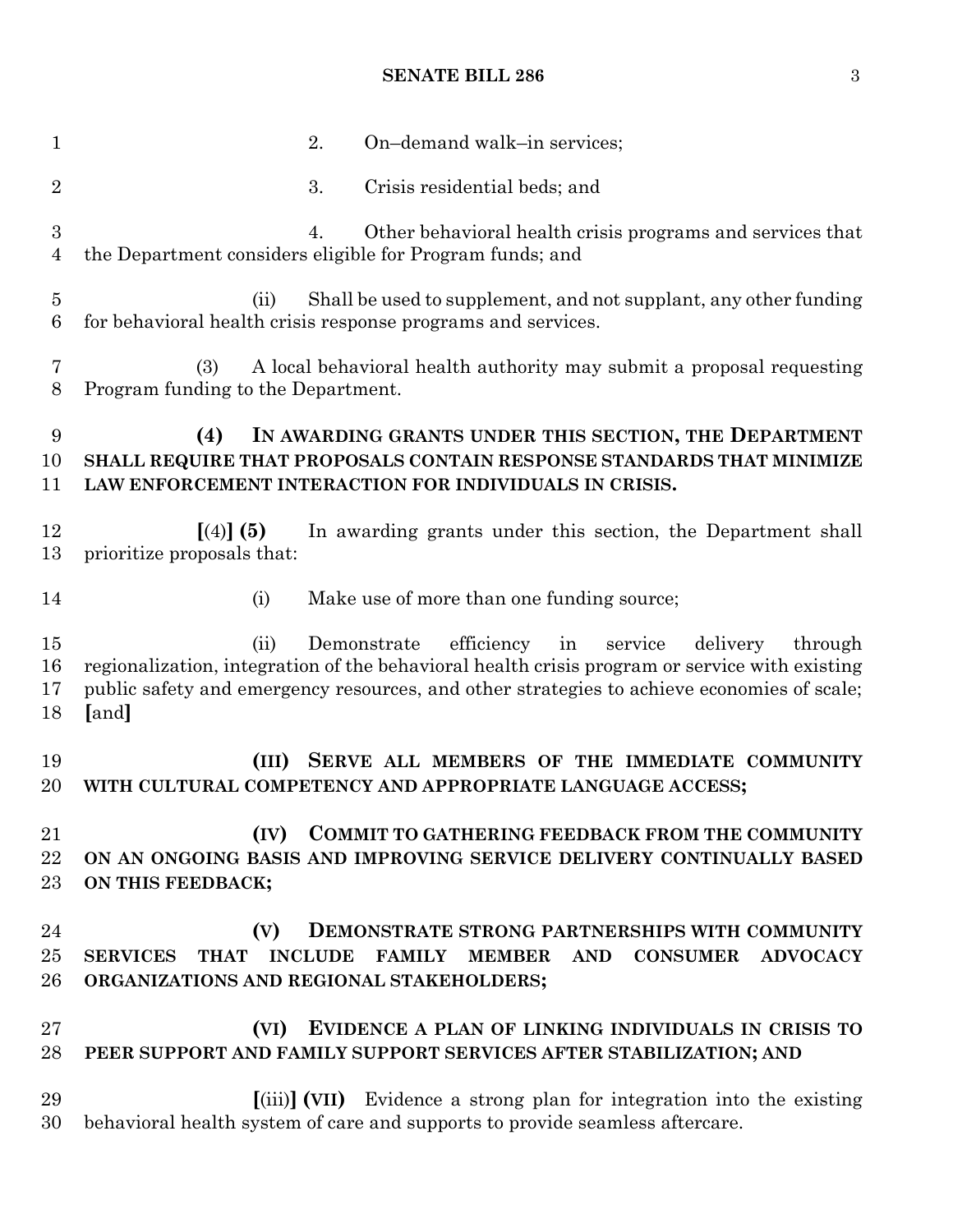## **SENATE BILL 286** 3

| $\mathbf{1}$             | 2.<br>On-demand walk-in services;                                                                                                                                                                                                                                              |  |  |  |  |  |
|--------------------------|--------------------------------------------------------------------------------------------------------------------------------------------------------------------------------------------------------------------------------------------------------------------------------|--|--|--|--|--|
| $\overline{2}$           | 3.<br>Crisis residential beds; and                                                                                                                                                                                                                                             |  |  |  |  |  |
| 3<br>$\overline{4}$      | Other behavioral health crisis programs and services that<br>4.<br>the Department considers eligible for Program funds; and                                                                                                                                                    |  |  |  |  |  |
| $\overline{5}$<br>6      | Shall be used to supplement, and not supplant, any other funding<br>(ii)<br>for behavioral health crisis response programs and services.                                                                                                                                       |  |  |  |  |  |
| 7<br>8                   | A local behavioral health authority may submit a proposal requesting<br>(3)<br>Program funding to the Department.                                                                                                                                                              |  |  |  |  |  |
| 9<br>10<br>11            | IN AWARDING GRANTS UNDER THIS SECTION, THE DEPARTMENT<br>(4)<br>SHALL REQUIRE THAT PROPOSALS CONTAIN RESPONSE STANDARDS THAT MINIMIZE<br>LAW ENFORCEMENT INTERACTION FOR INDIVIDUALS IN CRISIS.                                                                                |  |  |  |  |  |
| 12<br>13                 | In awarding grants under this section, the Department shall<br>$(4)$ (5)<br>prioritize proposals that:                                                                                                                                                                         |  |  |  |  |  |
| 14                       | (i)<br>Make use of more than one funding source;                                                                                                                                                                                                                               |  |  |  |  |  |
| $15\,$<br>16<br>17<br>18 | Demonstrate efficiency<br>(ii)<br>in<br>service<br>delivery<br>through<br>regionalization, integration of the behavioral health crisis program or service with existing<br>public safety and emergency resources, and other strategies to achieve economies of scale;<br>[and] |  |  |  |  |  |
| 19<br>20                 | (III)<br>SERVE ALL MEMBERS OF THE IMMEDIATE COMMUNITY<br>WITH CULTURAL COMPETENCY AND APPROPRIATE LANGUAGE ACCESS;                                                                                                                                                             |  |  |  |  |  |
| 21<br>22<br>$23\,$       | COMMIT TO GATHERING FEEDBACK FROM THE COMMUNITY<br>(IV)<br>ON AN ONGOING BASIS AND IMPROVING SERVICE DELIVERY CONTINUALLY BASED<br>ON THIS FEEDBACK;                                                                                                                           |  |  |  |  |  |
| 24<br>$25\,$<br>26       | DEMONSTRATE STRONG PARTNERSHIPS WITH COMMUNITY<br>(V)<br><b>THAT</b><br><b>INCLUDE</b><br><b>FAMILY</b><br><b>CONSUMER</b><br><b>MEMBER</b><br><b>AND</b><br><b>ADVOCACY</b><br><b>SERVICES</b><br>ORGANIZATIONS AND REGIONAL STAKEHOLDERS;                                    |  |  |  |  |  |
| $27\,$<br>28             | (VI)<br>EVIDENCE A PLAN OF LINKING INDIVIDUALS IN CRISIS TO<br>PEER SUPPORT AND FAMILY SUPPORT SERVICES AFTER STABILIZATION; AND                                                                                                                                               |  |  |  |  |  |
| 29<br>30                 | [(iii)] (VII) Evidence a strong plan for integration into the existing<br>behavioral health system of care and supports to provide seamless aftercare.                                                                                                                         |  |  |  |  |  |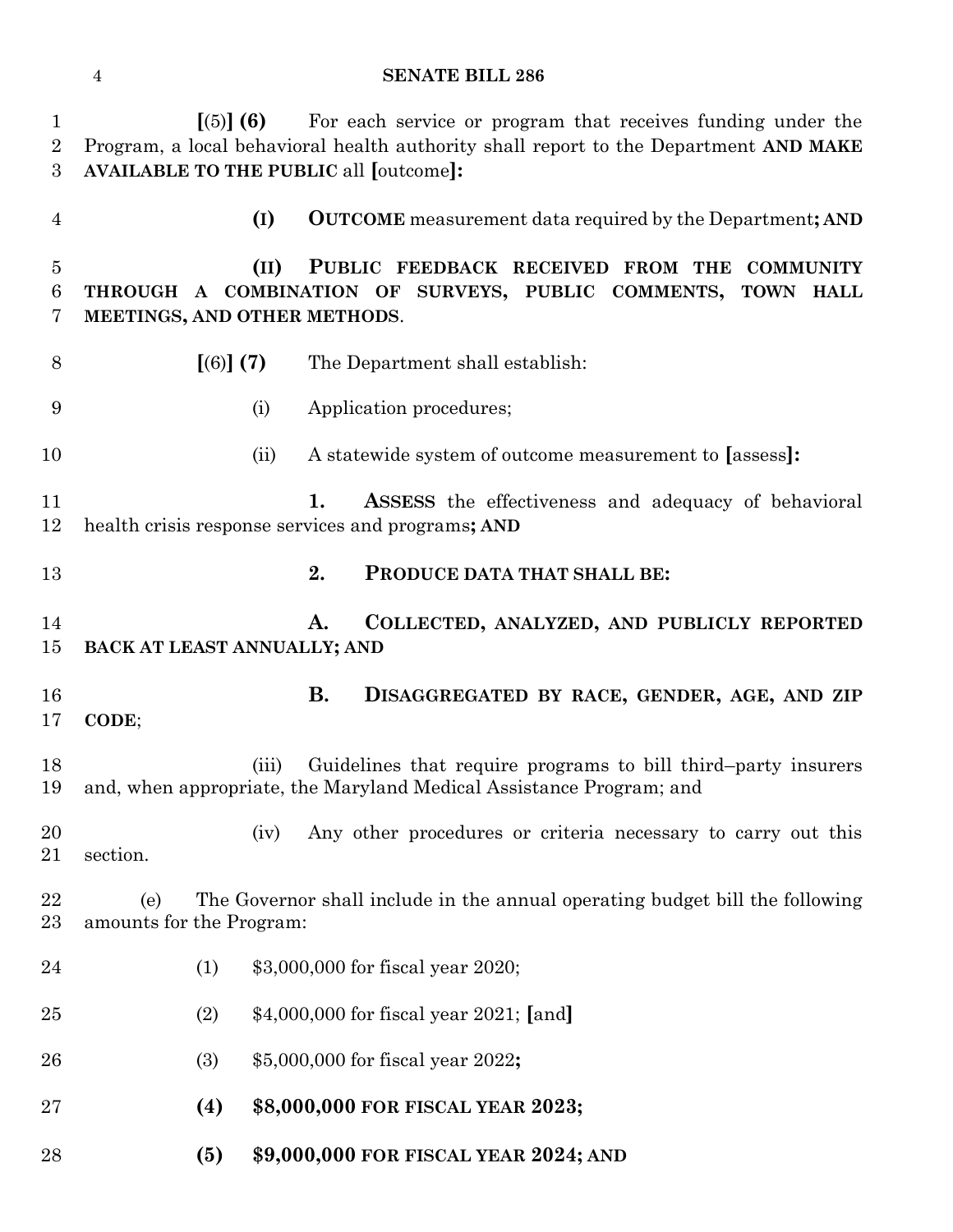## **SENATE BILL 286**

| $\mathbf{1}$<br>$\overline{2}$<br>3 | [(5)] (6)<br>For each service or program that receives funding under the<br>Program, a local behavioral health authority shall report to the Department AND MAKE<br><b>AVAILABLE TO THE PUBLIC all [outcome]:</b> |  |  |  |  |
|-------------------------------------|-------------------------------------------------------------------------------------------------------------------------------------------------------------------------------------------------------------------|--|--|--|--|
| $\overline{4}$                      | <b>OUTCOME</b> measurement data required by the Department; AND<br>(I)                                                                                                                                            |  |  |  |  |
| $\overline{5}$<br>6<br>7            | (II)<br>PUBLIC FEEDBACK RECEIVED FROM THE<br><b>COMMUNITY</b><br>THROUGH A COMBINATION OF SURVEYS, PUBLIC COMMENTS,<br>TOWN HALL<br>MEETINGS, AND OTHER METHODS.                                                  |  |  |  |  |
| 8                                   | [(6)] (7)<br>The Department shall establish:                                                                                                                                                                      |  |  |  |  |
| 9                                   | Application procedures;<br>(i)                                                                                                                                                                                    |  |  |  |  |
| 10                                  | A statewide system of outcome measurement to [assess]:<br>(ii)                                                                                                                                                    |  |  |  |  |
| 11<br>12                            | 1.<br><b>ASSESS</b> the effectiveness and adequacy of behavioral<br>health crisis response services and programs; AND                                                                                             |  |  |  |  |
| 13                                  | 2.<br>PRODUCE DATA THAT SHALL BE:                                                                                                                                                                                 |  |  |  |  |
| 14<br>15                            | COLLECTED, ANALYZED, AND PUBLICLY REPORTED<br>A.<br>BACK AT LEAST ANNUALLY; AND                                                                                                                                   |  |  |  |  |
| 16<br>17                            | <b>B.</b><br>DISAGGREGATED BY RACE, GENDER, AGE, AND ZIP<br>CODE;                                                                                                                                                 |  |  |  |  |
| 18<br>19                            | Guidelines that require programs to bill third-party insurers<br>(iii)<br>and, when appropriate, the Maryland Medical Assistance Program; and                                                                     |  |  |  |  |
| 20<br>21                            | Any other procedures or criteria necessary to carry out this<br>(iv)<br>section.                                                                                                                                  |  |  |  |  |
| 22<br>23                            | The Governor shall include in the annual operating budget bill the following<br>(e)<br>amounts for the Program:                                                                                                   |  |  |  |  |
| 24                                  | \$3,000,000 for fiscal year 2020;<br>(1)                                                                                                                                                                          |  |  |  |  |
| 25                                  | \$4,000,000 for fiscal year 2021; [and]<br>(2)                                                                                                                                                                    |  |  |  |  |
| 26                                  | \$5,000,000 for fiscal year 2022;<br>(3)                                                                                                                                                                          |  |  |  |  |
| 27                                  | (4)<br>\$8,000,000 FOR FISCAL YEAR 2023;                                                                                                                                                                          |  |  |  |  |
| 28                                  | (5)<br>\$9,000,000 FOR FISCAL YEAR 2024; AND                                                                                                                                                                      |  |  |  |  |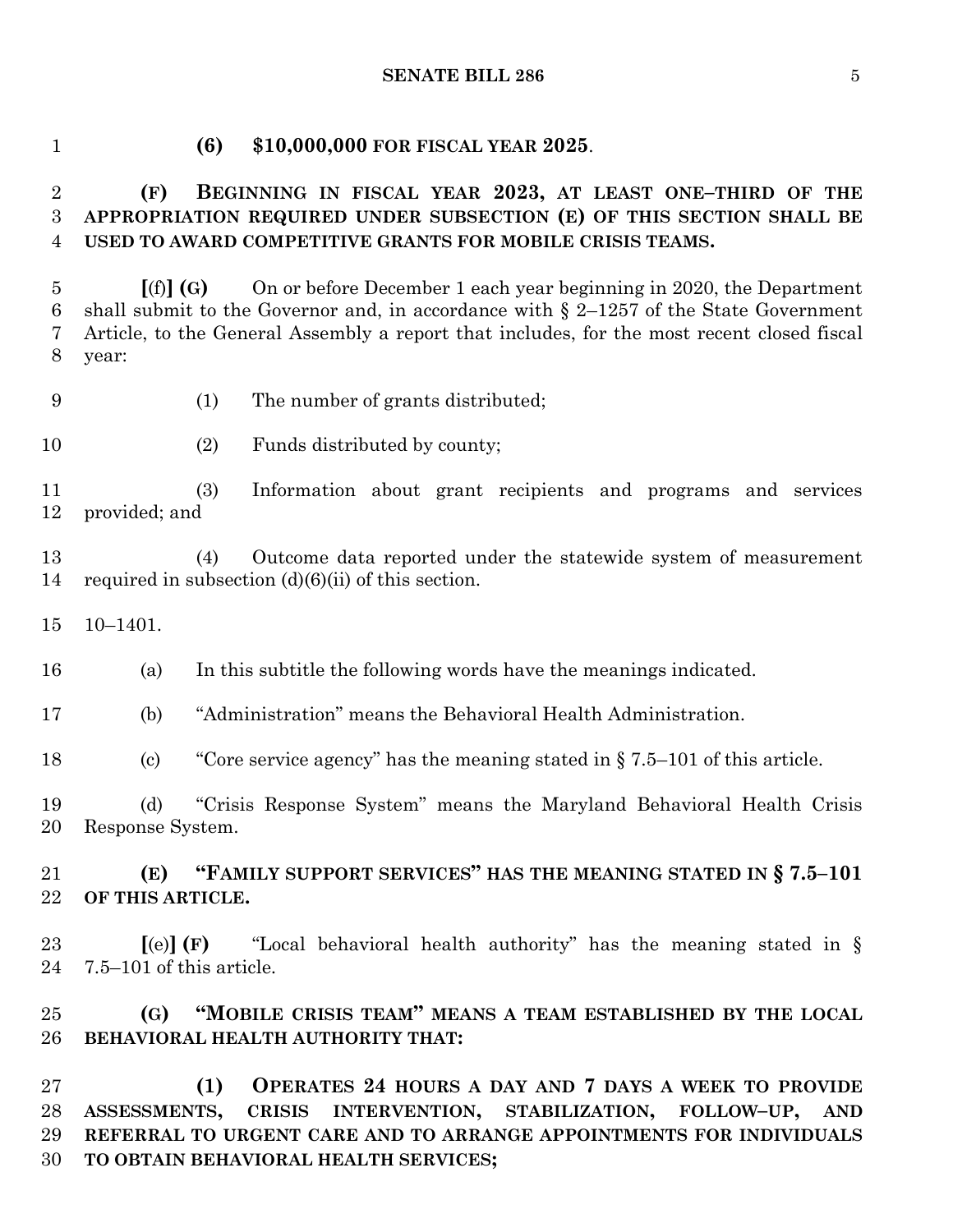#### **SENATE BILL 286** 5

#### **(6) \$10,000,000 FOR FISCAL YEAR 2025**.

# **(F) BEGINNING IN FISCAL YEAR 2023, AT LEAST ONE–THIRD OF THE APPROPRIATION REQUIRED UNDER SUBSECTION (E) OF THIS SECTION SHALL BE USED TO AWARD COMPETITIVE GRANTS FOR MOBILE CRISIS TEAMS.**

 **[**(f)**] (G)** On or before December 1 each year beginning in 2020, the Department 6 shall submit to the Governor and, in accordance with  $\S$  2–1257 of the State Government Article, to the General Assembly a report that includes, for the most recent closed fiscal year:

- (1) The number of grants distributed;
- 10 (2) Funds distributed by county;

 (3) Information about grant recipients and programs and services provided; and

 (4) Outcome data reported under the statewide system of measurement 14 required in subsection  $(d)(6)(ii)$  of this section.

10–1401.

(a) In this subtitle the following words have the meanings indicated.

(b) "Administration" means the Behavioral Health Administration.

(c) "Core service agency" has the meaning stated in § 7.5–101 of this article.

 (d) "Crisis Response System" means the Maryland Behavioral Health Crisis Response System.

 **(E) "FAMILY SUPPORT SERVICES" HAS THE MEANING STATED IN § 7.5–101 OF THIS ARTICLE.**

 **[**(e)**] (F)** "Local behavioral health authority" has the meaning stated in § 7.5–101 of this article.

 **(G) "MOBILE CRISIS TEAM" MEANS A TEAM ESTABLISHED BY THE LOCAL BEHAVIORAL HEALTH AUTHORITY THAT:**

 **(1) OPERATES 24 HOURS A DAY AND 7 DAYS A WEEK TO PROVIDE ASSESSMENTS, CRISIS INTERVENTION, STABILIZATION, FOLLOW–UP, AND REFERRAL TO URGENT CARE AND TO ARRANGE APPOINTMENTS FOR INDIVIDUALS TO OBTAIN BEHAVIORAL HEALTH SERVICES;**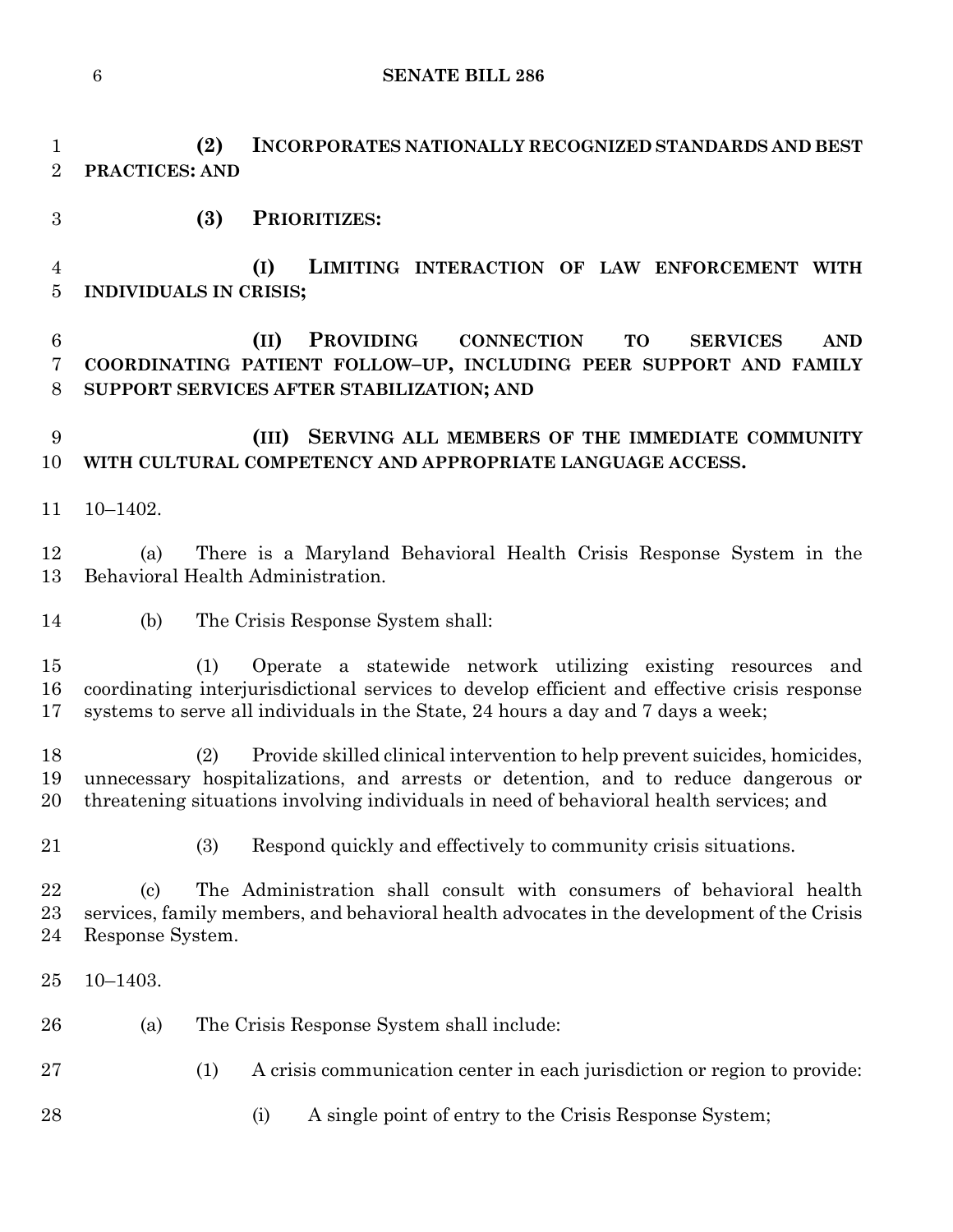**SENATE BILL 286**

 **(2) INCORPORATES NATIONALLY RECOGNIZED STANDARDS AND BEST PRACTICES: AND** 

**(3) PRIORITIZES:**

 **(I) LIMITING INTERACTION OF LAW ENFORCEMENT WITH INDIVIDUALS IN CRISIS;**

 **(II) PROVIDING CONNECTION TO SERVICES AND COORDINATING PATIENT FOLLOW–UP, INCLUDING PEER SUPPORT AND FAMILY SUPPORT SERVICES AFTER STABILIZATION; AND**

 **(III) SERVING ALL MEMBERS OF THE IMMEDIATE COMMUNITY WITH CULTURAL COMPETENCY AND APPROPRIATE LANGUAGE ACCESS.**

10–1402.

 (a) There is a Maryland Behavioral Health Crisis Response System in the Behavioral Health Administration.

(b) The Crisis Response System shall:

 (1) Operate a statewide network utilizing existing resources and coordinating interjurisdictional services to develop efficient and effective crisis response systems to serve all individuals in the State, 24 hours a day and 7 days a week;

 (2) Provide skilled clinical intervention to help prevent suicides, homicides, unnecessary hospitalizations, and arrests or detention, and to reduce dangerous or threatening situations involving individuals in need of behavioral health services; and

(3) Respond quickly and effectively to community crisis situations.

 (c) The Administration shall consult with consumers of behavioral health services, family members, and behavioral health advocates in the development of the Crisis Response System.

- 10–1403.
- (a) The Crisis Response System shall include:
- (1) A crisis communication center in each jurisdiction or region to provide:
- 28 (i) A single point of entry to the Crisis Response System;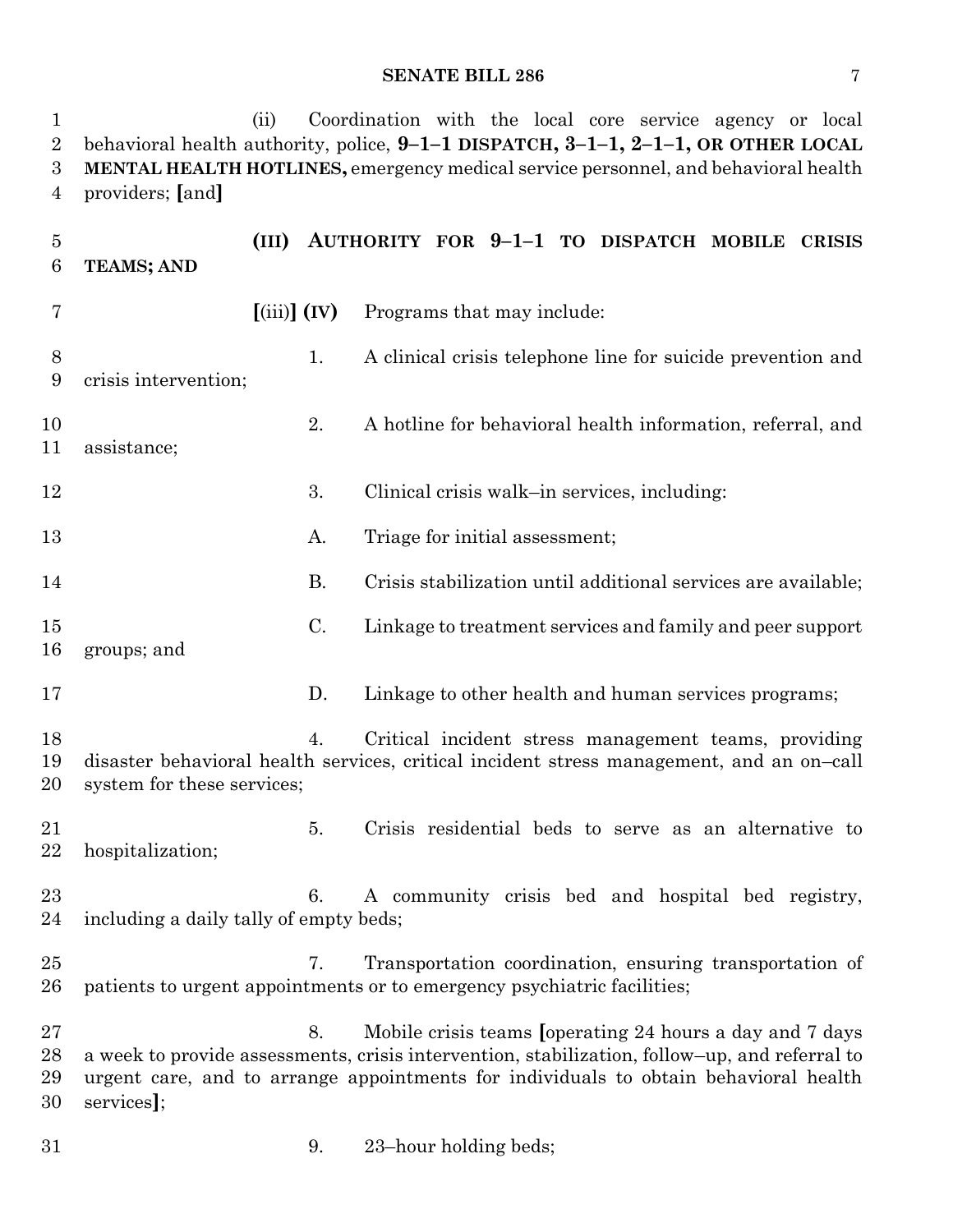#### **SENATE BILL 286** 7

 (ii) Coordination with the local core service agency or local behavioral health authority, police, **9–1–1 DISPATCH, 3–1–1, 2–1–1, OR OTHER LOCAL MENTAL HEALTH HOTLINES,** emergency medical service personnel, and behavioral health providers; **[**and**] (III) AUTHORITY FOR 9–1–1 TO DISPATCH MOBILE CRISIS TEAMS; AND [**(iii)**] (IV)** Programs that may include: 1. A clinical crisis telephone line for suicide prevention and crisis intervention; 2. A hotline for behavioral health information, referral, and assistance; 12 3. Clinical crisis walk–in services, including: 13 A. Triage for initial assessment; B. Crisis stabilization until additional services are available; C. Linkage to treatment services and family and peer support groups; and

D. Linkage to other health and human services programs;

 4. Critical incident stress management teams, providing disaster behavioral health services, critical incident stress management, and an on–call system for these services;

 5. Crisis residential beds to serve as an alternative to hospitalization;

 6. A community crisis bed and hospital bed registry, including a daily tally of empty beds;

- 7. Transportation coordination, ensuring transportation of patients to urgent appointments or to emergency psychiatric facilities;
- 8. Mobile crisis teams **[**operating 24 hours a day and 7 days a week to provide assessments, crisis intervention, stabilization, follow–up, and referral to urgent care, and to arrange appointments for individuals to obtain behavioral health services**]**;

9. 23–hour holding beds;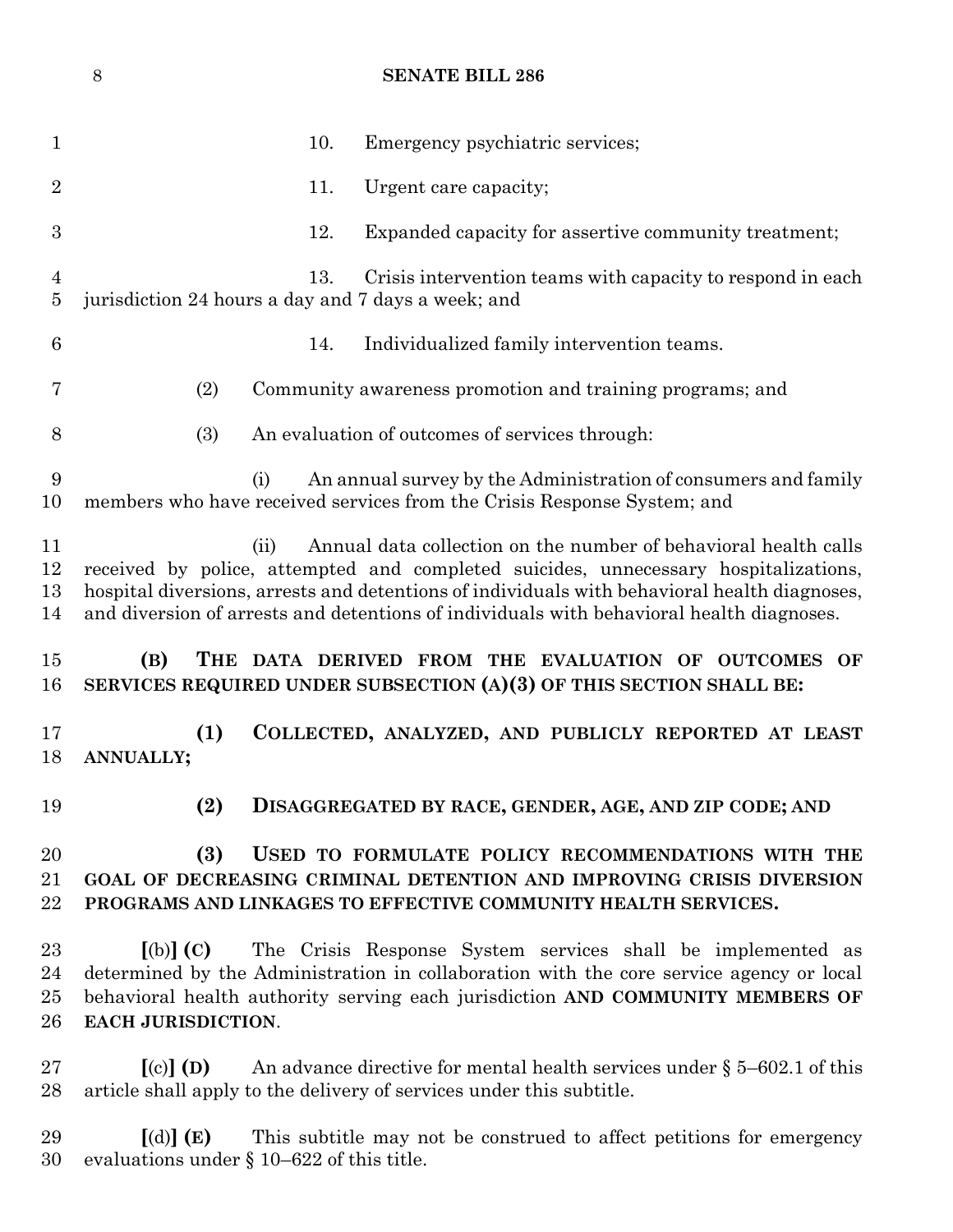|                                  | 8                                                                                                                                                                                                 |      | <b>SENATE BILL 286</b>                                                                                                                                                                                                                                                                                                                             |  |  |
|----------------------------------|---------------------------------------------------------------------------------------------------------------------------------------------------------------------------------------------------|------|----------------------------------------------------------------------------------------------------------------------------------------------------------------------------------------------------------------------------------------------------------------------------------------------------------------------------------------------------|--|--|
| $\mathbf 1$                      |                                                                                                                                                                                                   | 10.  | Emergency psychiatric services;                                                                                                                                                                                                                                                                                                                    |  |  |
| $\overline{2}$                   |                                                                                                                                                                                                   | 11.  | Urgent care capacity;                                                                                                                                                                                                                                                                                                                              |  |  |
| $\boldsymbol{3}$                 |                                                                                                                                                                                                   | 12.  | Expanded capacity for assertive community treatment;                                                                                                                                                                                                                                                                                               |  |  |
| $\overline{4}$<br>$\overline{5}$ | jurisdiction 24 hours a day and 7 days a week; and                                                                                                                                                | 13.  | Crisis intervention teams with capacity to respond in each                                                                                                                                                                                                                                                                                         |  |  |
| $\boldsymbol{6}$                 |                                                                                                                                                                                                   | 14.  | Individualized family intervention teams.                                                                                                                                                                                                                                                                                                          |  |  |
| 7                                | (2)                                                                                                                                                                                               |      | Community awareness promotion and training programs; and                                                                                                                                                                                                                                                                                           |  |  |
| 8                                | (3)                                                                                                                                                                                               |      | An evaluation of outcomes of services through:                                                                                                                                                                                                                                                                                                     |  |  |
| 9<br>10                          | (i)                                                                                                                                                                                               |      | An annual survey by the Administration of consumers and family<br>members who have received services from the Crisis Response System; and                                                                                                                                                                                                          |  |  |
| 11<br>12<br>13<br>14             |                                                                                                                                                                                                   | (ii) | Annual data collection on the number of behavioral health calls<br>received by police, attempted and completed suicides, unnecessary hospitalizations,<br>hospital diversions, arrests and detentions of individuals with behavioral health diagnoses,<br>and diversion of arrests and detentions of individuals with behavioral health diagnoses. |  |  |
| 15<br>16                         | (B)                                                                                                                                                                                               |      | THE DATA DERIVED FROM THE EVALUATION OF OUTCOMES OF<br>SERVICES REQUIRED UNDER SUBSECTION (A)(3) OF THIS SECTION SHALL BE:                                                                                                                                                                                                                         |  |  |
| 17<br>18                         | (1)<br>ANNUALLY;                                                                                                                                                                                  |      | COLLECTED, ANALYZED, AND PUBLICLY REPORTED AT LEAST                                                                                                                                                                                                                                                                                                |  |  |
| 19                               | (2)                                                                                                                                                                                               |      | DISAGGREGATED BY RACE, GENDER, AGE, AND ZIP CODE; AND                                                                                                                                                                                                                                                                                              |  |  |
| 20<br>21<br>22                   | (3)<br>USED TO FORMULATE POLICY RECOMMENDATIONS WITH THE<br>GOAL OF DECREASING CRIMINAL DETENTION AND IMPROVING CRISIS DIVERSION<br>PROGRAMS AND LINKAGES TO EFFECTIVE COMMUNITY HEALTH SERVICES. |      |                                                                                                                                                                                                                                                                                                                                                    |  |  |
| 23<br>24<br>25<br>26             | $(a)$ $(c)$<br>EACH JURISDICTION.                                                                                                                                                                 |      | The Crisis Response System services shall be implemented as<br>determined by the Administration in collaboration with the core service agency or local<br>behavioral health authority serving each jurisdiction AND COMMUNITY MEMBERS OF                                                                                                           |  |  |
| $27\,$<br>28                     | $\left[ \text{(c)} \right]$ (D)                                                                                                                                                                   |      | An advance directive for mental health services under $\S$ 5–602.1 of this<br>article shall apply to the delivery of services under this subtitle.                                                                                                                                                                                                 |  |  |

 **[**(d)**] (E)** This subtitle may not be construed to affect petitions for emergency evaluations under § 10–622 of this title.